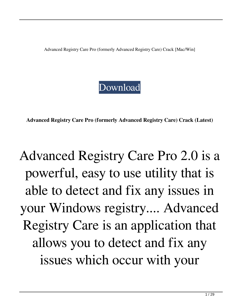Advanced Registry Care Pro (formerly Advanced Registry Care) Crack [Mac/Win]

#### [Download](http://evacdir.com/QWR2YW5jZWQgUmVnaXN0cnkgQ2FyZSBQcm8gKGZvcm1lcmx5IEFkdmFuY2VkIFJlZ2lzdHJ5IENhcmUpQWR/ZG93bmxvYWR8QmQwT0RKdmJueDhNVFkxTkRRek5qWTFPSHg4TWpVNU1IeDhLRTBwSUZkdmNtUndjbVZ6Y3lCYldFMU1VbEJESUZZeUlGQkVSbDA.ardent?&helminthic=holstering&chuanhong=panting)

**Advanced Registry Care Pro (formerly Advanced Registry Care) Crack (Latest)**

## Advanced Registry Care Pro 2.0 is a powerful, easy to use utility that is able to detect and fix any issues in your Windows registry.... Advanced Registry Care is an application that allows you to detect and fix any issues which occur with your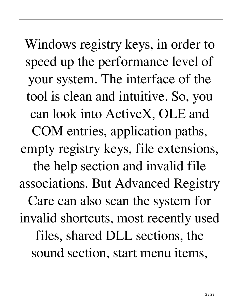Windows registry keys, in order to speed up the performance level of your system. The interface of the tool is clean and intuitive. So, you can look into ActiveX, OLE and COM entries, application paths, empty registry keys, file extensions, the help section and invalid file associations. But Advanced Registry Care can also scan the system for invalid shortcuts, most recently used files, shared DLL sections, the sound section, start menu items,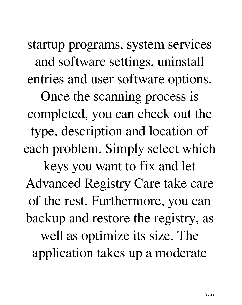startup programs, system services and software settings, uninstall entries and user software options.

Once the scanning process is completed, you can check out the type, description and location of each problem. Simply select which keys you want to fix and let Advanced Registry Care take care of the rest. Furthermore, you can backup and restore the registry, as well as optimize its size. The application takes up a moderate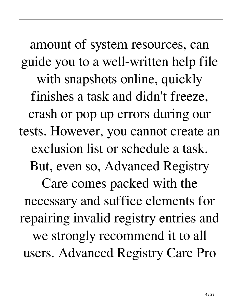amount of system resources, can guide you to a well-written help file with snapshots online, quickly finishes a task and didn't freeze, crash or pop up errors during our tests. However, you cannot create an exclusion list or schedule a task. But, even so, Advanced Registry Care comes packed with the necessary and suffice elements for repairing invalid registry entries and we strongly recommend it to all users. Advanced Registry Care Pro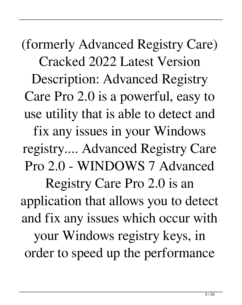(formerly Advanced Registry Care) Cracked 2022 Latest Version Description: Advanced Registry Care Pro 2.0 is a powerful, easy to use utility that is able to detect and fix any issues in your Windows registry.... Advanced Registry Care Pro 2.0 - WINDOWS 7 Advanced Registry Care Pro 2.0 is an application that allows you to detect and fix any issues which occur with your Windows registry keys, in order to speed up the performance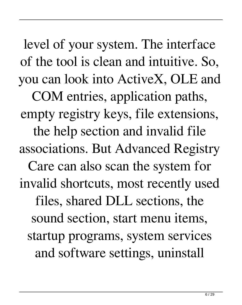level of your system. The interface of the tool is clean and intuitive. So, you can look into ActiveX, OLE and

COM entries, application paths, empty registry keys, file extensions, the help section and invalid file associations. But Advanced Registry Care can also scan the system for invalid shortcuts, most recently used files, shared DLL sections, the sound section, start menu items, startup programs, system services and software settings, uninstall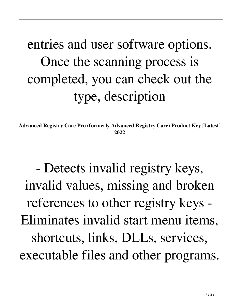## entries and user software options. Once the scanning process is completed, you can check out the type, description

**Advanced Registry Care Pro (formerly Advanced Registry Care) Product Key [Latest] 2022**

- Detects invalid registry keys, invalid values, missing and broken references to other registry keys - Eliminates invalid start menu items, shortcuts, links, DLLs, services, executable files and other programs.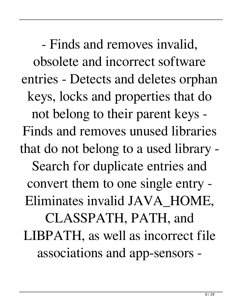- Finds and removes invalid, obsolete and incorrect software entries - Detects and deletes orphan keys, locks and properties that do not belong to their parent keys - Finds and removes unused libraries that do not belong to a used library - Search for duplicate entries and convert them to one single entry - Eliminates invalid JAVA\_HOME, CLASSPATH, PATH, and LIBPATH, as well as incorrect file associations and app-sensors -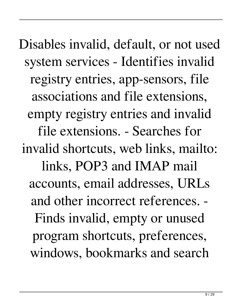Disables invalid, default, or not used system services - Identifies invalid registry entries, app-sensors, file associations and file extensions, empty registry entries and invalid file extensions. - Searches for invalid shortcuts, web links, mailto: links, POP3 and IMAP mail accounts, email addresses, URLs and other incorrect references. - Finds invalid, empty or unused program shortcuts, preferences, windows, bookmarks and search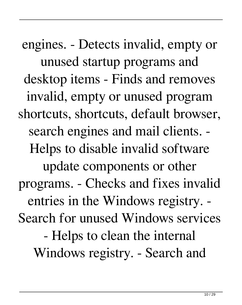engines. - Detects invalid, empty or unused startup programs and desktop items - Finds and removes invalid, empty or unused program shortcuts, shortcuts, default browser, search engines and mail clients. - Helps to disable invalid software update components or other programs. - Checks and fixes invalid entries in the Windows registry. - Search for unused Windows services - Helps to clean the internal Windows registry. - Search and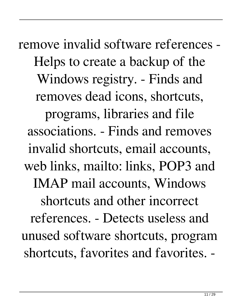remove invalid software references - Helps to create a backup of the Windows registry. - Finds and removes dead icons, shortcuts, programs, libraries and file associations. - Finds and removes invalid shortcuts, email accounts, web links, mailto: links, POP3 and IMAP mail accounts, Windows shortcuts and other incorrect references. - Detects useless and unused software shortcuts, program shortcuts, favorites and favorites. -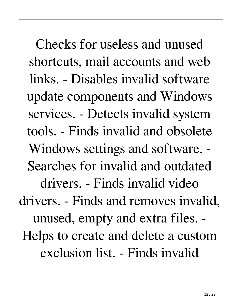Checks for useless and unused shortcuts, mail accounts and web links. - Disables invalid software update components and Windows services. - Detects invalid system tools. - Finds invalid and obsolete Windows settings and software. - Searches for invalid and outdated drivers. - Finds invalid video drivers. - Finds and removes invalid, unused, empty and extra files. - Helps to create and delete a custom exclusion list. - Finds invalid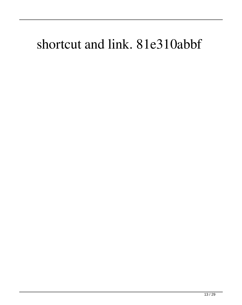### shortcut and link. 81e310abbf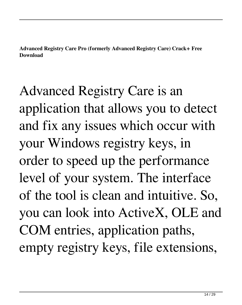**Advanced Registry Care Pro (formerly Advanced Registry Care) Crack+ Free Download**

Advanced Registry Care is an application that allows you to detect and fix any issues which occur with your Windows registry keys, in order to speed up the performance level of your system. The interface of the tool is clean and intuitive. So, you can look into ActiveX, OLE and COM entries, application paths, empty registry keys, file extensions,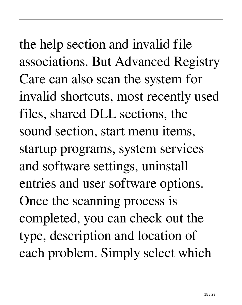the help section and invalid file associations. But Advanced Registry Care can also scan the system for invalid shortcuts, most recently used files, shared DLL sections, the sound section, start menu items, startup programs, system services and software settings, uninstall entries and user software options. Once the scanning process is completed, you can check out the type, description and location of each problem. Simply select which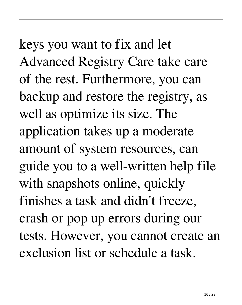keys you want to fix and let Advanced Registry Care take care of the rest. Furthermore, you can backup and restore the registry, as well as optimize its size. The application takes up a moderate amount of system resources, can guide you to a well-written help file with snapshots online, quickly finishes a task and didn't freeze, crash or pop up errors during our tests. However, you cannot create an exclusion list or schedule a task.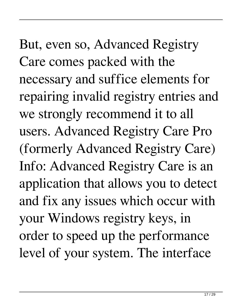But, even so, Advanced Registry Care comes packed with the necessary and suffice elements for repairing invalid registry entries and we strongly recommend it to all users. Advanced Registry Care Pro (formerly Advanced Registry Care) Info: Advanced Registry Care is an application that allows you to detect and fix any issues which occur with your Windows registry keys, in order to speed up the performance level of your system. The interface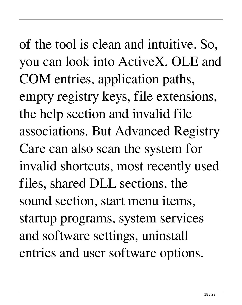of the tool is clean and intuitive. So, you can look into ActiveX, OLE and COM entries, application paths, empty registry keys, file extensions, the help section and invalid file associations. But Advanced Registry Care can also scan the system for invalid shortcuts, most recently used files, shared DLL sections, the sound section, start menu items, startup programs, system services and software settings, uninstall entries and user software options.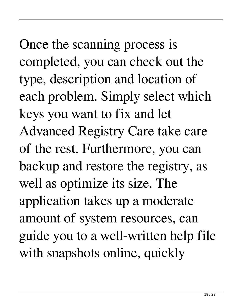Once the scanning process is completed, you can check out the type, description and location of each problem. Simply select which keys you want to fix and let Advanced Registry Care take care of the rest. Furthermore, you can backup and restore the registry, as well as optimize its size. The application takes up a moderate amount of system resources, can guide you to a well-written help file with snapshots online, quickly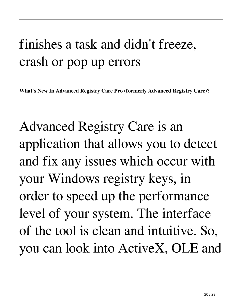### finishes a task and didn't freeze, crash or pop up errors

**What's New In Advanced Registry Care Pro (formerly Advanced Registry Care)?**

Advanced Registry Care is an application that allows you to detect and fix any issues which occur with your Windows registry keys, in order to speed up the performance level of your system. The interface of the tool is clean and intuitive. So, you can look into ActiveX, OLE and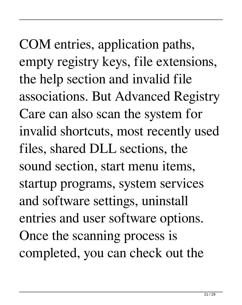COM entries, application paths, empty registry keys, file extensions, the help section and invalid file associations. But Advanced Registry Care can also scan the system for invalid shortcuts, most recently used files, shared DLL sections, the sound section, start menu items, startup programs, system services and software settings, uninstall entries and user software options. Once the scanning process is completed, you can check out the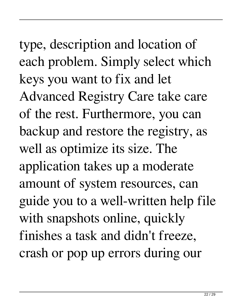type, description and location of each problem. Simply select which keys you want to fix and let Advanced Registry Care take care of the rest. Furthermore, you can backup and restore the registry, as well as optimize its size. The application takes up a moderate amount of system resources, can guide you to a well-written help file with snapshots online, quickly finishes a task and didn't freeze, crash or pop up errors during our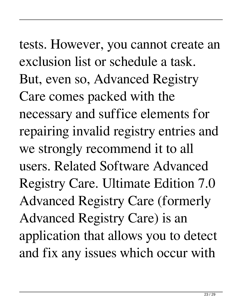tests. However, you cannot create an exclusion list or schedule a task. But, even so, Advanced Registry Care comes packed with the necessary and suffice elements for repairing invalid registry entries and we strongly recommend it to all users. Related Software Advanced Registry Care. Ultimate Edition 7.0 Advanced Registry Care (formerly Advanced Registry Care) is an application that allows you to detect and fix any issues which occur with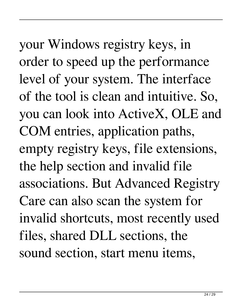your Windows registry keys, in order to speed up the performance level of your system. The interface of the tool is clean and intuitive. So, you can look into ActiveX, OLE and COM entries, application paths, empty registry keys, file extensions, the help section and invalid file associations. But Advanced Registry Care can also scan the system for invalid shortcuts, most recently used files, shared DLL sections, the sound section, start menu items,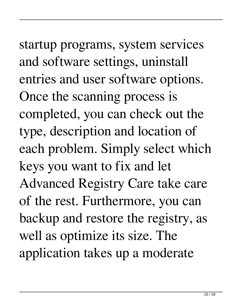startup programs, system services and software settings, uninstall entries and user software options. Once the scanning process is completed, you can check out the type, description and location of

each problem. Simply select which keys you want to fix and let

Advanced Registry Care take care of the rest. Furthermore, you can backup and restore the registry, as well as optimize its size. The application takes up a moderate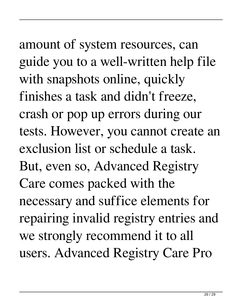# amount of system resources, can guide you to a well-written help file with snapshots online, quickly finishes a task and didn't freeze, crash or pop up errors during our tests. However, you cannot create an exclusion list or schedule a task. But, even so, Advanced Registry Care comes packed with the necessary and suffice elements for repairing invalid registry entries and we strongly recommend it to all

users. Advanced Registry Care Pro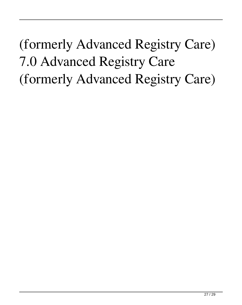(formerly Advanced Registry Care) 7.0 Advanced Registry Care (formerly Advanced Registry Care)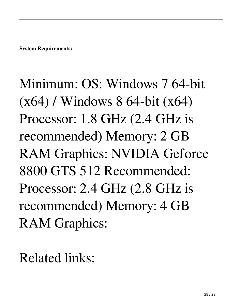Minimum: OS: Windows 7 64-bit (x64) / Windows 8 64-bit (x64) Processor: 1.8 GHz (2.4 GHz is recommended) Memory: 2 GB RAM Graphics: NVIDIA Geforce 8800 GTS 512 Recommended: Processor: 2.4 GHz (2.8 GHz is recommended) Memory: 4 GB RAM Graphics:

Related links: